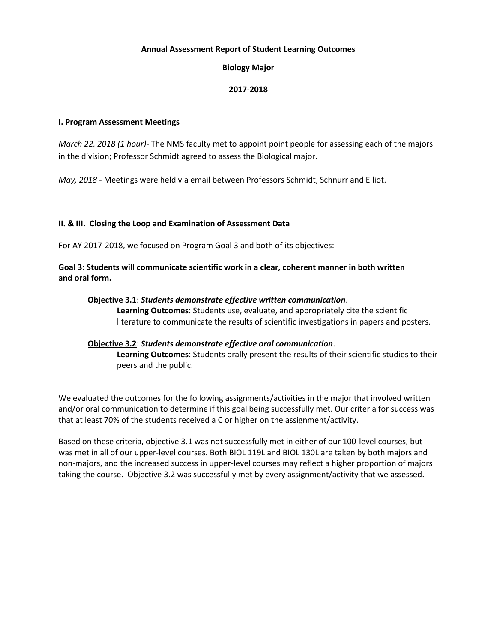# **Annual Assessment Report of Student Learning Outcomes**

### **Biology Major**

### **2017-2018**

#### **I. Program Assessment Meetings**

*March 22, 2018 (1 hour)*- The NMS faculty met to appoint point people for assessing each of the majors in the division; Professor Schmidt agreed to assess the Biological major.

*May, 2018* - Meetings were held via email between Professors Schmidt, Schnurr and Elliot.

# **II. & III. Closing the Loop and Examination of Assessment Data**

For AY 2017-2018, we focused on Program Goal 3 and both of its objectives:

**Goal 3: Students will communicate scientific work in a clear, coherent manner in both written and oral form.**

### **Objective 3.1**: *Students demonstrate effective written communication*.

**Learning Outcomes**: Students use, evaluate, and appropriately cite the scientific literature to communicate the results of scientific investigations in papers and posters.

# **Objective 3.2**: *Students demonstrate effective oral communication*.

**Learning Outcomes**: Students orally present the results of their scientific studies to their peers and the public.

We evaluated the outcomes for the following assignments/activities in the major that involved written and/or oral communication to determine if this goal being successfully met. Our criteria for success was that at least 70% of the students received a C or higher on the assignment/activity.

Based on these criteria, objective 3.1 was not successfully met in either of our 100-level courses, but was met in all of our upper-level courses. Both BIOL 119L and BIOL 130L are taken by both majors and non-majors, and the increased success in upper-level courses may reflect a higher proportion of majors taking the course. Objective 3.2 was successfully met by every assignment/activity that we assessed.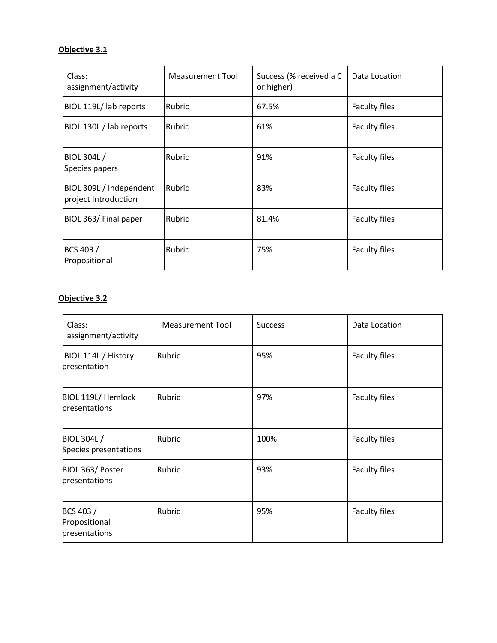# **Objective 3.1**

| Class:<br>assignment/activity                   | Measurement Tool | Success (% received a C<br>or higher) | Data Location        |
|-------------------------------------------------|------------------|---------------------------------------|----------------------|
| BIOL 119L/ lab reports                          | Rubric           | 67.5%                                 | <b>Faculty files</b> |
| BIOL 130L / lab reports                         | <b>Rubric</b>    | 61%                                   | <b>Faculty files</b> |
| BIOL 304L/<br>Species papers                    | Rubric           | 91%                                   | <b>Faculty files</b> |
| BIOL 309L / Independent<br>project Introduction | Rubric           | 83%                                   | <b>Faculty files</b> |
| BIOL 363/ Final paper                           | <b>Rubric</b>    | 81.4%                                 | <b>Faculty files</b> |
| BCS 403/<br>Propositional                       | Rubric           | 75%                                   | <b>Faculty files</b> |

# **Objective 3.2**

| Class:<br>assignment/activity               | <b>Measurement Tool</b> | <b>Success</b> | Data Location |
|---------------------------------------------|-------------------------|----------------|---------------|
| BIOL 114L / History<br>presentation         | Rubric                  | 95%            | Faculty files |
| BIOL 119L/ Hemlock<br>presentations         | Rubric                  | 97%            | Faculty files |
| <b>BIOL 304L/</b><br>Species presentations  | Rubric                  | 100%           | Faculty files |
| BIOL 363/ Poster<br>presentations           | Rubric                  | 93%            | Faculty files |
| BCS 403 /<br>Propositional<br>presentations | Rubric                  | 95%            | Faculty files |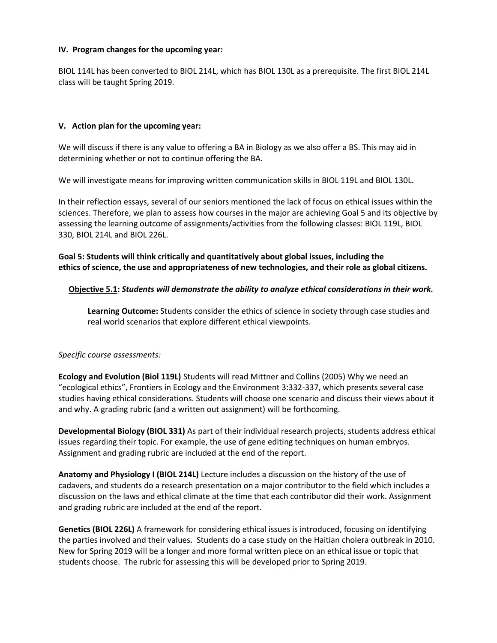# **IV. Program changes for the upcoming year:**

BIOL 114L has been converted to BIOL 214L, which has BIOL 130L as a prerequisite. The first BIOL 214L class will be taught Spring 2019.

# **V. Action plan for the upcoming year:**

We will discuss if there is any value to offering a BA in Biology as we also offer a BS. This may aid in determining whether or not to continue offering the BA.

We will investigate means for improving written communication skills in BIOL 119L and BIOL 130L.

In their reflection essays, several of our seniors mentioned the lack of focus on ethical issues within the sciences. Therefore, we plan to assess how courses in the major are achieving Goal 5 and its objective by assessing the learning outcome of assignments/activities from the following classes: BIOL 119L, BIOL 330, BIOL 214L and BIOL 226L.

**Goal 5: Students will think critically and quantitatively about global issues, including the ethics of science, the use and appropriateness of new technologies, and their role as global citizens.**

# **Objective 5.1:** *Students will demonstrate the ability to analyze ethical considerations in their work.*

**Learning Outcome:** Students consider the ethics of science in society through case studies and real world scenarios that explore different ethical viewpoints.

# *Specific course assessments:*

**Ecology and Evolution (Biol 119L)** Students will read Mittner and Collins (2005) Why we need an "ecological ethics", Frontiers in Ecology and the Environment 3:332-337, which presents several case studies having ethical considerations. Students will choose one scenario and discuss their views about it and why. A grading rubric (and a written out assignment) will be forthcoming.

**Developmental Biology (BIOL 331)** As part of their individual research projects, students address ethical issues regarding their topic. For example, the use of gene editing techniques on human embryos. Assignment and grading rubric are included at the end of the report.

**Anatomy and Physiology I (BIOL 214L)** Lecture includes a discussion on the history of the use of cadavers, and students do a research presentation on a major contributor to the field which includes a discussion on the laws and ethical climate at the time that each contributor did their work. Assignment and grading rubric are included at the end of the report.

**Genetics (BIOL 226L)** A framework for considering ethical issues is introduced, focusing on identifying the parties involved and their values. Students do a case study on the Haitian cholera outbreak in 2010. New for Spring 2019 will be a longer and more formal written piece on an ethical issue or topic that students choose. The rubric for assessing this will be developed prior to Spring 2019.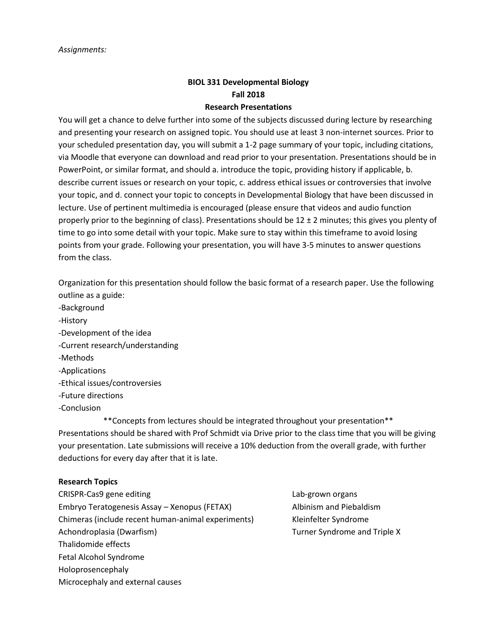# **BIOL 331 Developmental Biology Fall 2018**

# **Research Presentations**

You will get a chance to delve further into some of the subjects discussed during lecture by researching and presenting your research on assigned topic. You should use at least 3 non-internet sources. Prior to your scheduled presentation day, you will submit a 1-2 page summary of your topic, including citations, via Moodle that everyone can download and read prior to your presentation. Presentations should be in PowerPoint, or similar format, and should a. introduce the topic, providing history if applicable, b. describe current issues or research on your topic, c. address ethical issues or controversies that involve your topic, and d. connect your topic to concepts in Developmental Biology that have been discussed in lecture. Use of pertinent multimedia is encouraged (please ensure that videos and audio function properly prior to the beginning of class). Presentations should be  $12 \pm 2$  minutes; this gives you plenty of time to go into some detail with your topic. Make sure to stay within this timeframe to avoid losing points from your grade. Following your presentation, you will have 3-5 minutes to answer questions from the class.

Organization for this presentation should follow the basic format of a research paper. Use the following outline as a guide:

- -Background
- -History
- -Development of the idea
- -Current research/understanding
- -Methods
- -Applications
- -Ethical issues/controversies
- -Future directions
- -Conclusion

\*\*Concepts from lectures should be integrated throughout your presentation\*\* Presentations should be shared with Prof Schmidt via Drive prior to the class time that you will be giving your presentation. Late submissions will receive a 10% deduction from the overall grade, with further deductions for every day after that it is late.

# **Research Topics**

- CRISPR-Cas9 gene editing Lab-grown organs Embryo Teratogenesis Assay – Xenopus (FETAX) Albinism and Piebaldism Chimeras (include recent human-animal experiments) Kleinfelter Syndrome Achondroplasia (Dwarfism) Turner Syndrome and Triple X Thalidomide effects Fetal Alcohol Syndrome Holoprosencephaly Microcephaly and external causes
	-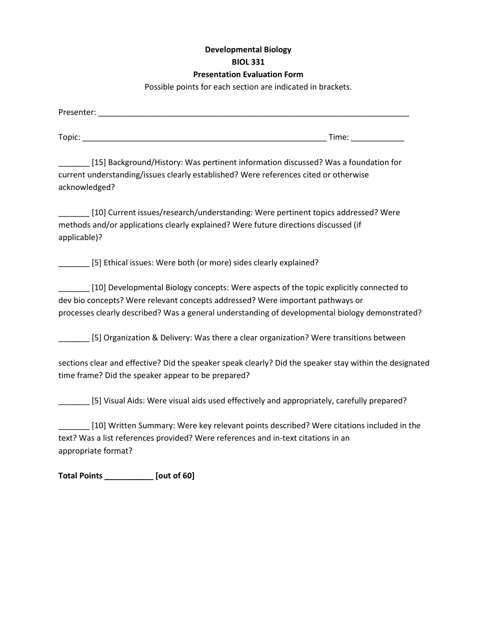# **Developmental Biology BIOL 331 Presentation Evaluation Form**

Possible points for each section are indicated in brackets.

| Presenter: National Accounts and Accounts and Accounts and Accounts and Accounts and Accounts and Accounts and                                                                                                                                                              |
|-----------------------------------------------------------------------------------------------------------------------------------------------------------------------------------------------------------------------------------------------------------------------------|
|                                                                                                                                                                                                                                                                             |
| [15] Background/History: Was pertinent information discussed? Was a foundation for<br>current understanding/issues clearly established? Were references cited or otherwise<br>acknowledged?                                                                                 |
| [10] Current issues/research/understanding: Were pertinent topics addressed? Were<br>methods and/or applications clearly explained? Were future directions discussed (if<br>applicable)?                                                                                    |
| [5] Ethical issues: Were both (or more) sides clearly explained?                                                                                                                                                                                                            |
| [10] Developmental Biology concepts: Were aspects of the topic explicitly connected to<br>dev bio concepts? Were relevant concepts addressed? Were important pathways or<br>processes clearly described? Was a general understanding of developmental biology demonstrated? |
| [5] Organization & Delivery: Was there a clear organization? Were transitions between                                                                                                                                                                                       |
| sections clear and effective? Did the speaker speak clearly? Did the speaker stay within the designated<br>time frame? Did the speaker appear to be prepared?                                                                                                               |
| [5] Visual Aids: Were visual aids used effectively and appropriately, carefully prepared?                                                                                                                                                                                   |
| [10] Written Summary: Were key relevant points described? Were citations included in the<br>text? Was a list references provided? Were references and in-text citations in an<br>appropriate format?                                                                        |
| Total Points [out of 60]                                                                                                                                                                                                                                                    |
|                                                                                                                                                                                                                                                                             |
|                                                                                                                                                                                                                                                                             |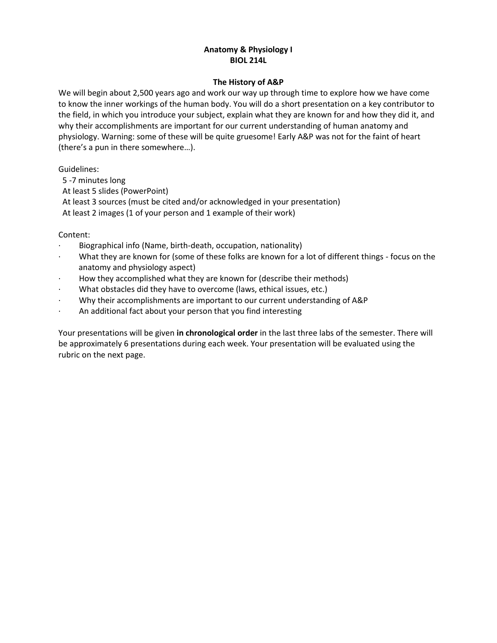# **Anatomy & Physiology I BIOL 214L**

# **The History of A&P**

We will begin about 2,500 years ago and work our way up through time to explore how we have come to know the inner workings of the human body. You will do a short presentation on a key contributor to the field, in which you introduce your subject, explain what they are known for and how they did it, and why their accomplishments are important for our current understanding of human anatomy and physiology. Warning: some of these will be quite gruesome! Early A&P was not for the faint of heart (there's a pun in there somewhere…).

Guidelines:

5 -7 minutes long

At least 5 slides (PowerPoint)

At least 3 sources (must be cited and/or acknowledged in your presentation)

At least 2 images (1 of your person and 1 example of their work)

Content:

- · Biographical info (Name, birth-death, occupation, nationality)
- What they are known for (some of these folks are known for a lot of different things focus on the anatomy and physiology aspect)
- · How they accomplished what they are known for (describe their methods)
- What obstacles did they have to overcome (laws, ethical issues, etc.)
- · Why their accomplishments are important to our current understanding of A&P
- An additional fact about your person that you find interesting

Your presentations will be given **in chronological order** in the last three labs of the semester. There will be approximately 6 presentations during each week. Your presentation will be evaluated using the rubric on the next page.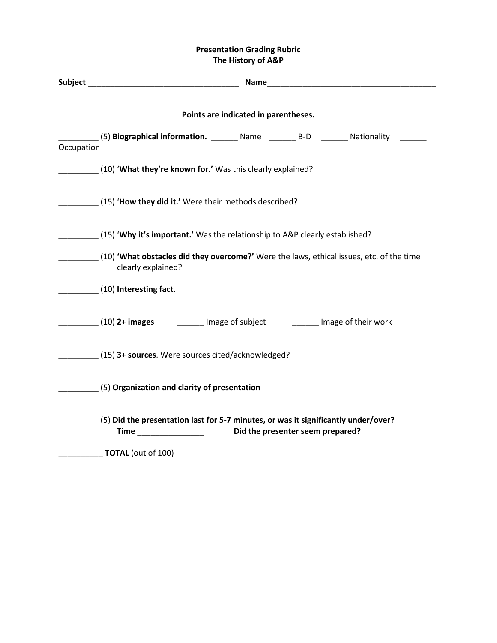# **Presentation Grading Rubric The History of A&P**

|            | <b>Subject Example 2018</b><br>Name<br><u> 1980 - John Stein, amerikansk politiker (</u>                               |  |  |  |  |
|------------|------------------------------------------------------------------------------------------------------------------------|--|--|--|--|
|            | Points are indicated in parentheses.                                                                                   |  |  |  |  |
| Occupation | (5) Biographical information. Mame Mame B-D Mationality                                                                |  |  |  |  |
|            | (10) <b>What they're known for.'</b> Was this clearly explained?                                                       |  |  |  |  |
|            | (15) 'How they did it.' Were their methods described?                                                                  |  |  |  |  |
|            | (15) 'Why it's important.' Was the relationship to A&P clearly established?                                            |  |  |  |  |
|            | (10) <b>'What obstacles did they overcome?'</b> Were the laws, ethical issues, etc. of the time<br>clearly explained?  |  |  |  |  |
|            | (10) Interesting fact.                                                                                                 |  |  |  |  |
|            | (10) 2+ images and image of subject and image of their work                                                            |  |  |  |  |
|            | (15) 3+ sources. Were sources cited/acknowledged?                                                                      |  |  |  |  |
|            | $(5)$ Organization and clarity of presentation                                                                         |  |  |  |  |
|            | (5) Did the presentation last for 5-7 minutes, or was it significantly under/over?<br>Did the presenter seem prepared? |  |  |  |  |
|            | <b>TOTAL</b> (out of 100)                                                                                              |  |  |  |  |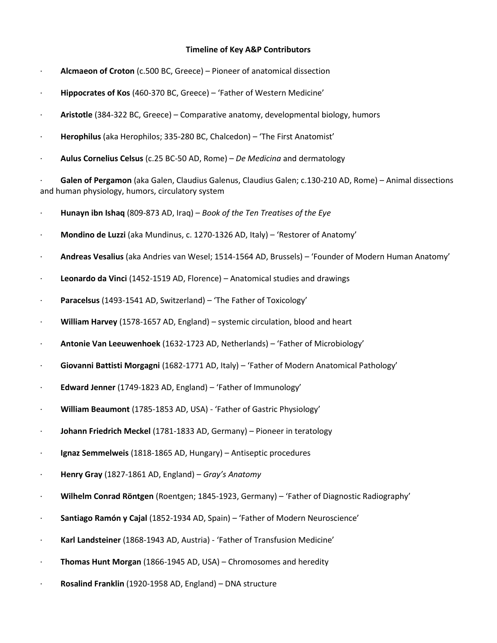### **Timeline of Key A&P Contributors**

- · **Alcmaeon of Croton** (c.500 BC, Greece) Pioneer of anatomical dissection
- · **Hippocrates of Kos** (460-370 BC, Greece) 'Father of Western Medicine'
- · **Aristotle** (384-322 BC, Greece) Comparative anatomy, developmental biology, humors
- · **Herophilus** (aka Herophilos; 335-280 BC, Chalcedon) 'The First Anatomist'
- · **Aulus Cornelius Celsus** (c.25 BC-50 AD, Rome) *De Medicina* and dermatology

· **Galen of Pergamon** (aka Galen, Claudius Galenus, Claudius Galen; c.130-210 AD, Rome) – Animal dissections and human physiology, humors, circulatory system

- · **Hunayn ibn Ishaq** (809-873 AD, Iraq) *Book of the Ten Treatises of the Eye*
- · **Mondino de Luzzi** (aka Mundinus, c. 1270-1326 AD, Italy) 'Restorer of Anatomy'
- · **Andreas Vesalius** (aka Andries van Wesel; 1514-1564 AD, Brussels) 'Founder of Modern Human Anatomy'
- · **Leonardo da Vinci** (1452-1519 AD, Florence) Anatomical studies and drawings
- · **Paracelsus** (1493-1541 AD, Switzerland) 'The Father of Toxicology'
- · **William Harvey** (1578-1657 AD, England) systemic circulation, blood and heart
- · **Antonie Van Leeuwenhoek** (1632-1723 AD, Netherlands) 'Father of Microbiology'
- · **Giovanni Battisti Morgagni** (1682-1771 AD, Italy) 'Father of Modern Anatomical Pathology'
- · **Edward Jenner** (1749-1823 AD, England) 'Father of Immunology'
- · **William Beaumont** (1785-1853 AD, USA) 'Father of Gastric Physiology'
- · **Johann Friedrich Meckel** (1781-1833 AD, Germany) Pioneer in teratology
- · **Ignaz Semmelweis** (1818-1865 AD, Hungary) Antiseptic procedures
- · **Henry Gray** (1827-1861 AD, England) *Gray's Anatomy*
- · **Wilhelm Conrad Röntgen** (Roentgen; 1845-1923, Germany) 'Father of Diagnostic Radiography'
- · **Santiago Ramón y Cajal** (1852-1934 AD, Spain) 'Father of Modern Neuroscience'
- · **Karl Landsteiner** (1868-1943 AD, Austria) 'Father of Transfusion Medicine'
- · **Thomas Hunt Morgan** (1866-1945 AD, USA) Chromosomes and heredity
- · **Rosalind Franklin** (1920-1958 AD, England) DNA structure